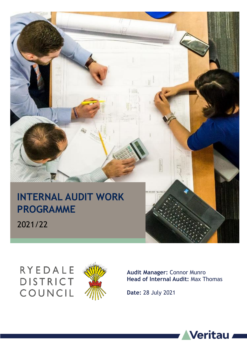

# RYEDALE **DISTRICT** COUNCIL



**Audit Manager:** Connor Munro **Head of Internal Audit:** Max Thomas

**Date:** 28 July 2021



**1**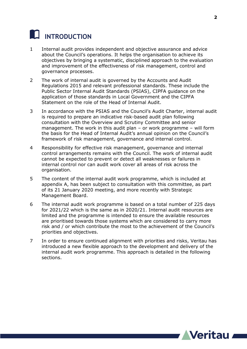## **INTRODUCTION**

- 1 Internal audit provides independent and objective assurance and advice about the Council's operations. It helps the organisation to achieve its objectives by bringing a systematic, disciplined approach to the evaluation and improvement of the effectiveness of risk management, control and governance processes.
- 2 The work of internal audit is governed by the Accounts and Audit Regulations 2015 and relevant professional standards. These include the Public Sector Internal Audit Standards (PSIAS), CIPFA guidance on the application of those standards in Local Government and the CIPFA Statement on the role of the Head of Internal Audit.
- 3 In accordance with the PSIAS and the Council's Audit Charter, internal audit is required to prepare an indicative risk-based audit plan following consultation with the Overview and Scrutiny Committee and senior management. The work in this audit plan – or work programme – will form the basis for the Head of Internal Audit's annual opinion on the Council's framework of risk management, governance and internal control.
- 4 Responsibility for effective risk management, governance and internal control arrangements remains with the Council. The work of internal audit cannot be expected to prevent or detect all weaknesses or failures in internal control nor can audit work cover all areas of risk across the organisation.
- 5 The content of the internal audit work programme, which is included at appendix A, has been subject to consultation with this committee, as part of its 21 January 2020 meeting, and more recently with Strategic Management Board.
- 6 The internal audit work programme is based on a total number of 225 days for 2021/22 which is the same as in 2020/21. Internal audit resources are limited and the programme is intended to ensure the available resources are prioritised towards those systems which are considered to carry more risk and / or which contribute the most to the achievement of the Council's priorities and objectives.
- 7 In order to ensure continued alignment with priorities and risks, Veritau has introduced a new flexible approach to the development and delivery of the internal audit work programme. This approach is detailed in the following sections.

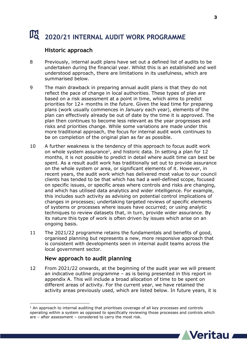# **2020/21 INTERNAL AUDIT WORK PROGRAMME**

### **Historic approach**

- 8 Previously, internal audit plans have set out a defined list of audits to be undertaken during the financial year. Whilst this is an established and well understood approach, there are limitations in its usefulness, which are summarised below.
- 9 The main drawback in preparing annual audit plans is that they do not reflect the pace of change in local authorities. These types of plan are based on a risk assessment at a point in time, which aims to predict priorities for 12+ months in the future. Given the lead time for preparing plans (work usually commences in January each year), elements of the plan can effectively already be out of date by the time it is approved. The plan then continues to become less relevant as the year progresses and risks and priorities change. While some variations are made under this more traditional approach, the focus for internal audit work continues to be on completion of the original plan as far as possible.
- 10 A further weakness is the tendency of this approach to focus audit work on whole system assurance<sup>1</sup>, and historic data. In setting a plan for 12 months, it is not possible to predict in detail where audit time can best be spent. As a result audit work has traditionally set out to provide assurance on the whole system or area, or significant elements of it. However, in recent years, the audit work which has delivered most value to our council clients has tended to be that which has had a well-defined scope, focused on specific issues, or specific areas where controls and risks are changing, and which has utilised data analytics and wider intelligence. For example, this includes such activity as advising on potential control implications of changes in processes; undertaking targeted reviews of specific elements of systems or processes where issues have occurred; or using analytic techniques to review datasets that, in turn, provide wider assurance. By its nature this type of work is often driven by issues which arise on an ongoing basis.
- 11 The 2021/22 programme retains the fundamentals and benefits of good, organised planning but represents a new, more responsive approach that is consistent with developments seen in internal audit teams across the local government sector.

#### **New approach to audit planning**

12 From 2021/22 onwards, at the beginning of the audit year we will present an indicative outline programme – as is being presented in this report in appendix A. This will include a broad allocation of time to be spent on different areas of activity. For the current year, we have retained the activity areas previously used, which are listed below. In future years, it is

<sup>-</sup> $1$  An approach to internal auditing that prioritises coverage of all key processes and controls operating within a system as opposed to specifically reviewing those processes and controls which are – after assessment – considered to carry the most risk.

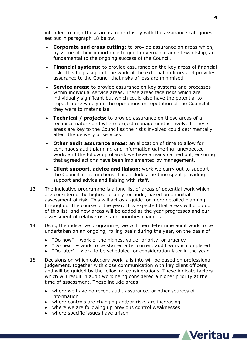intended to align these areas more closely with the assurance categories set out in paragraph 18 below.

- **Corporate and cross cutting:** to provide assurance on areas which, by virtue of their importance to good governance and stewardship, are fundamental to the ongoing success of the Council.
- **Financial systems:** to provide assurance on the key areas of financial risk. This helps support the work of the external auditors and provides assurance to the Council that risks of loss are minimised.
- **Service areas:** to provide assurance on key systems and processes within individual service areas. These areas face risks which are individually significant but which could also have the potential to impact more widely on the operations or reputation of the Council if they were to materialise.
- **Technical / projects:** to provide assurance on those areas of a technical nature and where project management is involved. These areas are key to the Council as the risks involved could detrimentally affect the delivery of services.
- **Other audit assurance areas:** an allocation of time to allow for continuous audit planning and information gathering, unexpected work, and the follow up of work we have already carried out, ensuring that agreed actions have been implemented by management.
- **Client support, advice and liaison:** work we carry out to support the Council in its functions. This includes the time spent providing support and advice and liaising with staff.
- 13 The indicative programme is a long list of areas of potential work which are considered the highest priority for audit, based on an initial assessment of risk. This will act as a guide for more detailed planning throughout the course of the year. It is expected that areas will drop out of this list, and new areas will be added as the year progresses and our assessment of relative risks and priorities changes.
- 14 Using the indicative programme, we will then determine audit work to be undertaken on an ongoing, rolling basis during the year, on the basis of:
	- "Do now" work of the highest value, priority, or urgency
	- "Do next" work to be started after current audit work is completed
	- "Do later" work to be scheduled for consideration later in the year
- 15 Decisions on which category work falls into will be based on professional judgement, together with close communication with key client officers, and will be guided by the following considerations. These indicate factors which will result in audit work being considered a higher priority at the time of assessment. These include areas:
	- where we have no recent audit assurance, or other sources of information
	- where controls are changing and/or risks are increasing
	- where we are following up previous control weaknesses
	- where specific issues have arisen

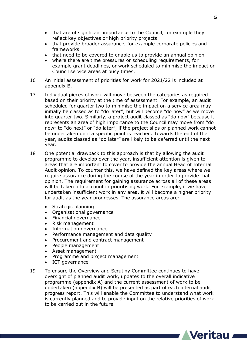- that are of significant importance to the Council, for example they reflect key objectives or high priority projects
- that provide broader assurance, for example corporate policies and frameworks
- that need to be covered to enable us to provide an annual opinion
- where there are time pressures or scheduling requirements, for example grant deadlines, or work scheduled to minimise the impact on Council service areas at busy times.
- 16 An initial assessment of priorities for work for 2021/22 is included at appendix B.
- 17 Individual pieces of work will move between the categories as required based on their priority at the time of assessment. For example, an audit scheduled for quarter two to minimise the impact on a service area may initially be classed as to "do later", but will become "do now" as we move into quarter two. Similarly, a project audit classed as "do now" because it represents an area of high importance to the Council may move from "do now" to "do next" or "do later", if the project slips or planned work cannot be undertaken until a specific point is reached. Towards the end of the year, audits classed as "do later" are likely to be deferred until the next year.
- 18 One potential drawback to this approach is that by allowing the audit programme to develop over the year, insufficient attention is given to areas that are important to cover to provide the annual Head of Internal Audit opinion. To counter this, we have defined the key areas where we require assurance during the course of the year in order to provide that opinion. The requirement for gaining assurance across all of these areas will be taken into account in prioritising work. For example, if we have undertaken insufficient work in any area, it will become a higher priority for audit as the year progresses. The assurance areas are:
	- Strategic planning
	- Organisational governance
	- Financial governance
	- Risk management
	- Information governance
	- Performance management and data quality
	- Procurement and contract management
	- People management
	- Asset management
	- Programme and project management
	- ICT governance
- 19 To ensure the Overview and Scrutiny Committee continues to have oversight of planned audit work, updates to the overall indicative programme (appendix A) and the current assessment of work to be undertaken (appendix B) will be presented as part of each internal audit progress report. This will enable the Committee to understand what work is currently planned and to provide input on the relative priorities of work to be carried out in the future.



**5**

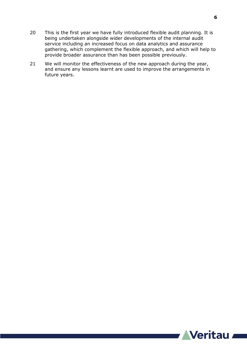- 20 This is the first year we have fully introduced flexible audit planning. It is being undertaken alongside wider developments of the internal audit service including an increased focus on data analytics and assurance gathering, which complement the flexible approach, and which will help to provide broader assurance than has been possible previously.
- 21 We will monitor the effectiveness of the new approach during the year, and ensure any lessons learnt are used to improve the arrangements in future years.

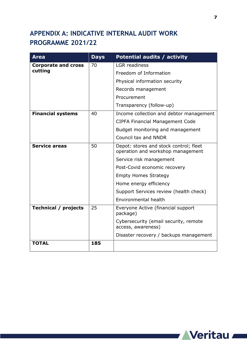## **APPENDIX A: INDICATIVE INTERNAL AUDIT WORK PROGRAMME 2021/22**

| <b>Area</b>                           | <b>Days</b> | <b>Potential audits / activity</b>                                          |
|---------------------------------------|-------------|-----------------------------------------------------------------------------|
| <b>Corporate and cross</b><br>cutting | 70          | <b>LGR</b> readiness                                                        |
|                                       |             | Freedom of Information                                                      |
|                                       |             | Physical information security                                               |
|                                       |             | Records management                                                          |
|                                       |             | Procurement                                                                 |
|                                       |             | Transparency (follow-up)                                                    |
| <b>Financial systems</b>              | 40          | Income collection and debtor management                                     |
|                                       |             | <b>CIPFA Financial Management Code</b>                                      |
|                                       |             | Budget monitoring and management                                            |
|                                       |             | Council tax and NNDR                                                        |
| <b>Service areas</b>                  | 50          | Depot: stores and stock control; fleet<br>operation and workshop management |
|                                       |             | Service risk management                                                     |
|                                       |             | Post-Covid economic recovery                                                |
|                                       |             | <b>Empty Homes Strategy</b>                                                 |
|                                       |             | Home energy efficiency                                                      |
|                                       |             | Support Services review (health check)                                      |
|                                       |             | Environmental health                                                        |
| <b>Technical / projects</b>           | 25          | Everyone Active (financial support<br>package)                              |
|                                       |             | Cybersecurity (email security, remote<br>access, awareness)                 |
|                                       |             | Disaster recovery / backups management                                      |
| <b>TOTAL</b>                          | 185         |                                                                             |

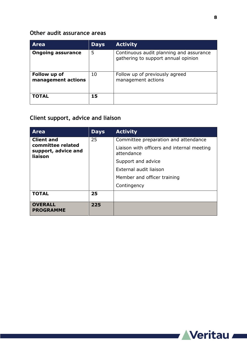#### **Other audit assurance areas**

| <b>Area</b>                        | <b>Days</b> | <b>Activity</b>                                                                |
|------------------------------------|-------------|--------------------------------------------------------------------------------|
| <b>Ongoing assurance</b>           | 5           | Continuous audit planning and assurance<br>gathering to support annual opinion |
| Follow up of<br>management actions | 10          | Follow up of previously agreed<br>management actions                           |
| <b>TOTAL</b>                       | 15          |                                                                                |

## **Client support, advice and liaison**

| <b>Area</b>                                                              | <b>Days</b> | <b>Activity</b>                                          |
|--------------------------------------------------------------------------|-------------|----------------------------------------------------------|
| <b>Client and</b><br>committee related<br>support, advice and<br>liaison | 25          | Committee preparation and attendance                     |
|                                                                          |             | Liaison with officers and internal meeting<br>attendance |
|                                                                          |             | Support and advice                                       |
|                                                                          |             | External audit liaison                                   |
|                                                                          |             | Member and officer training                              |
|                                                                          |             | Contingency                                              |
| <b>TOTAL</b>                                                             | 25          |                                                          |
| <b>OVERALL</b><br><b>PROGRAMME</b>                                       | 225         |                                                          |



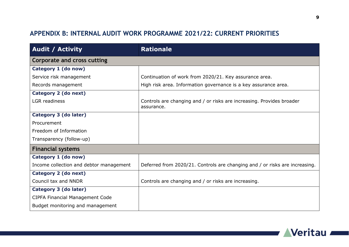## **APPENDIX B: INTERNAL AUDIT WORK PROGRAMME 2021/22: CURRENT PRIORITIES**

| <b>Audit / Activity</b>                 | <b>Rationale</b>                                                                    |
|-----------------------------------------|-------------------------------------------------------------------------------------|
| <b>Corporate and cross cutting</b>      |                                                                                     |
| Category 1 (do now)                     |                                                                                     |
| Service risk management                 | Continuation of work from 2020/21. Key assurance area.                              |
| Records management                      | High risk area. Information governance is a key assurance area.                     |
| Category 2 (do next)                    |                                                                                     |
| <b>LGR</b> readiness                    | Controls are changing and / or risks are increasing. Provides broader<br>assurance. |
| Category 3 (do later)                   |                                                                                     |
| Procurement                             |                                                                                     |
| Freedom of Information                  |                                                                                     |
| Transparency (follow-up)                |                                                                                     |
| <b>Financial systems</b>                |                                                                                     |
| Category 1 (do now)                     |                                                                                     |
| Income collection and debtor management | Deferred from 2020/21. Controls are changing and / or risks are increasing.         |
| Category 2 (do next)                    |                                                                                     |
| Council tax and NNDR                    | Controls are changing and / or risks are increasing.                                |
| Category 3 (do later)                   |                                                                                     |
| <b>CIPFA Financial Management Code</b>  |                                                                                     |
| Budget monitoring and management        |                                                                                     |